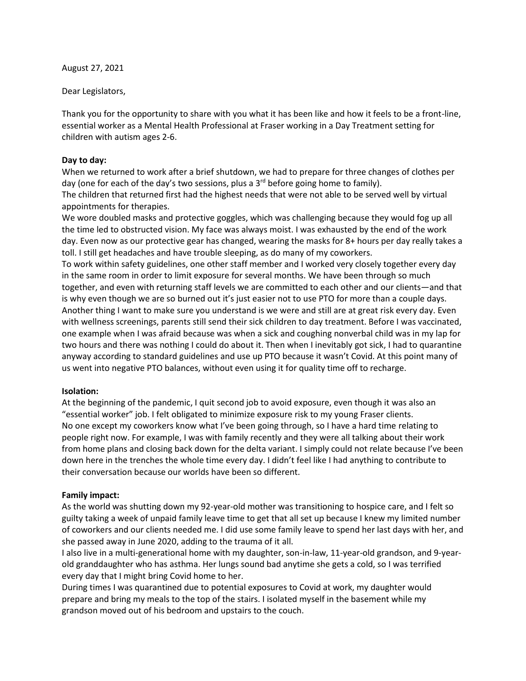August 27, 2021

Dear Legislators,

Thank you for the opportunity to share with you what it has been like and how it feels to be a front-line, essential worker as a Mental Health Professional at Fraser working in a Day Treatment setting for children with autism ages 2-6.

## **Day to day:**

When we returned to work after a brief shutdown, we had to prepare for three changes of clothes per day (one for each of the day's two sessions, plus a  $3<sup>rd</sup>$  before going home to family).

The children that returned first had the highest needs that were not able to be served well by virtual appointments for therapies.

We wore doubled masks and protective goggles, which was challenging because they would fog up all the time led to obstructed vision. My face was always moist. I was exhausted by the end of the work day. Even now as our protective gear has changed, wearing the masks for 8+ hours per day really takes a toll. I still get headaches and have trouble sleeping, as do many of my coworkers.

To work within safety guidelines, one other staff member and I worked very closely together every day in the same room in order to limit exposure for several months. We have been through so much together, and even with returning staff levels we are committed to each other and our clients—and that is why even though we are so burned out it's just easier not to use PTO for more than a couple days. Another thing I want to make sure you understand is we were and still are at great risk every day. Even with wellness screenings, parents still send their sick children to day treatment. Before I was vaccinated, one example when I was afraid because was when a sick and coughing nonverbal child was in my lap for two hours and there was nothing I could do about it. Then when I inevitably got sick, I had to quarantine anyway according to standard guidelines and use up PTO because it wasn't Covid. At this point many of us went into negative PTO balances, without even using it for quality time off to recharge.

## **Isolation:**

At the beginning of the pandemic, I quit second job to avoid exposure, even though it was also an "essential worker" job. I felt obligated to minimize exposure risk to my young Fraser clients. No one except my coworkers know what I've been going through, so I have a hard time relating to people right now. For example, I was with family recently and they were all talking about their work from home plans and closing back down for the delta variant. I simply could not relate because I've been down here in the trenches the whole time every day. I didn't feel like I had anything to contribute to their conversation because our worlds have been so different.

## **Family impact:**

As the world was shutting down my 92-year-old mother was transitioning to hospice care, and I felt so guilty taking a week of unpaid family leave time to get that all set up because I knew my limited number of coworkers and our clients needed me. I did use some family leave to spend her last days with her, and she passed away in June 2020, adding to the trauma of it all.

I also live in a multi-generational home with my daughter, son-in-law, 11-year-old grandson, and 9-yearold granddaughter who has asthma. Her lungs sound bad anytime she gets a cold, so I was terrified every day that I might bring Covid home to her.

During times I was quarantined due to potential exposures to Covid at work, my daughter would prepare and bring my meals to the top of the stairs. I isolated myself in the basement while my grandson moved out of his bedroom and upstairs to the couch.